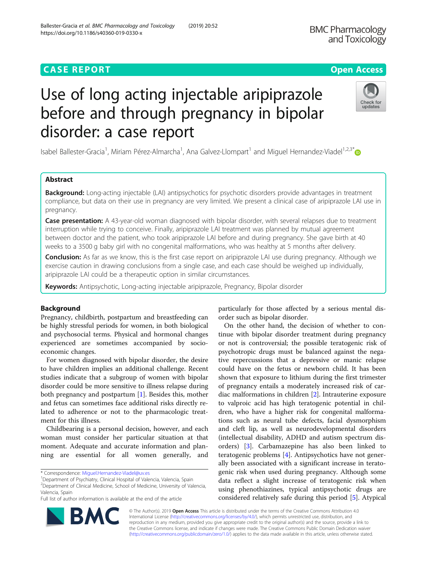## **CASE REPORT CASE REPORT CASE REPORT**

# Use of long acting injectable aripiprazole before and through pregnancy in bipolar disorder: a case report

Isabel Ballester-Gracia<sup>1</sup>, Miriam Pérez-Almarcha<sup>1</sup>, Ana Galvez-Llompart<sup>1</sup> and Miguel Hernandez-Viadel<sup>1,2,3\*</sup>

## Abstract

Background: Long-acting injectable (LAI) antipsychotics for psychotic disorders provide advantages in treatment compliance, but data on their use in pregnancy are very limited. We present a clinical case of aripiprazole LAI use in pregnancy.

Case presentation: A 43-year-old woman diagnosed with bipolar disorder, with several relapses due to treatment interruption while trying to conceive. Finally, aripiprazole LAI treatment was planned by mutual agreement between doctor and the patient, who took aripiprazole LAI before and during pregnancy. She gave birth at 40 weeks to a 3500 g baby girl with no congenital malformations, who was healthy at 5 months after delivery.

Conclusion: As far as we know, this is the first case report on aripiprazole LAI use during pregnancy. Although we exercise caution in drawing conclusions from a single case, and each case should be weighed up individually, aripiprazole LAI could be a therapeutic option in similar circumstances.

Keywords: Antipsychotic, Long-acting injectable aripiprazole, Pregnancy, Bipolar disorder

## Background

Pregnancy, childbirth, postpartum and breastfeeding can be highly stressful periods for women, in both biological and psychosocial terms. Physical and hormonal changes experienced are sometimes accompanied by socioeconomic changes.

For women diagnosed with bipolar disorder, the desire to have children implies an additional challenge. Recent studies indicate that a subgroup of women with bipolar disorder could be more sensitive to illness relapse during both pregnancy and postpartum [[1\]](#page-3-0). Besides this, mother and fetus can sometimes face additional risks directly related to adherence or not to the pharmacologic treatment for this illness.

Childbearing is a personal decision, however, and each woman must consider her particular situation at that moment. Adequate and accurate information and planning are essential for all women generally, and

\* Correspondence: [Miguel.Hernandez-Viadel@uv.es](mailto:Miguel.Hernandez-Viadel@uv.es) <sup>1</sup>

Full list of author information is available at the end of the article

particularly for those affected by a serious mental disorder such as bipolar disorder.

On the other hand, the decision of whether to continue with bipolar disorder treatment during pregnancy or not is controversial; the possible teratogenic risk of psychotropic drugs must be balanced against the negative repercussions that a depressive or manic relapse could have on the fetus or newborn child. It has been shown that exposure to lithium during the first trimester of pregnancy entails a moderately increased risk of cardiac malformations in children [[2\]](#page-3-0). Intrauterine exposure to valproic acid has high teratogenic potential in children, who have a higher risk for congenital malformations such as neural tube defects, facial dysmorphism and cleft lip, as well as neurodevelopmental disorders (intellectual disability, ADHD and autism spectrum disorders) [[3](#page-3-0)]. Carbamazepine has also been linked to teratogenic problems [\[4](#page-3-0)]. Antipsychotics have not generally been associated with a significant increase in teratogenic risk when used during pregnancy. Although some data reflect a slight increase of teratogenic risk when using phenothiazines, typical antipsychotic drugs are considered relatively safe during this period [\[5](#page-3-0)]. Atypical

© The Author(s). 2019 Open Access This article is distributed under the terms of the Creative Commons Attribution 4.0 International License [\(http://creativecommons.org/licenses/by/4.0/](http://creativecommons.org/licenses/by/4.0/)), which permits unrestricted use, distribution, and reproduction in any medium, provided you give appropriate credit to the original author(s) and the source, provide a link to the Creative Commons license, and indicate if changes were made. The Creative Commons Public Domain Dedication waiver [\(http://creativecommons.org/publicdomain/zero/1.0/](http://creativecommons.org/publicdomain/zero/1.0/)) applies to the data made available in this article, unless otherwise stated.







<sup>&</sup>lt;sup>1</sup>Department of Psychiatry, Clinical Hospital of Valencia, Valencia, Spain 2 Department of Clinical Medicine, School of Medicine, University of Valencia, Valencia, Spain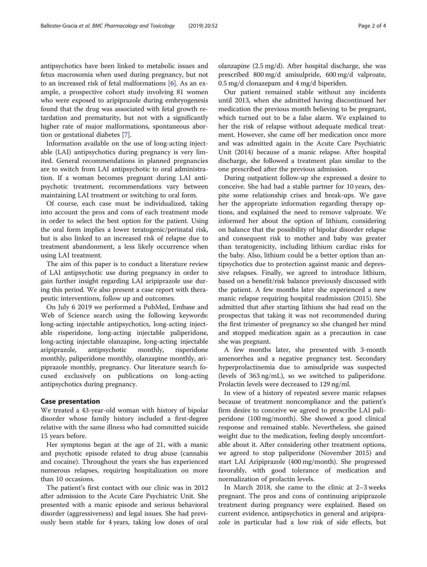antipsychotics have been linked to metabolic issues and fetus macrosomia when used during pregnancy, but not to an increased risk of fetal malformations [[6\]](#page-3-0). As an example, a prospective cohort study involving 81 women who were exposed to aripiprazole during embryogenesis found that the drug was associated with fetal growth retardation and prematurity, but not with a significantly higher rate of major malformations, spontaneous abortion or gestational diabetes [\[7](#page-3-0)].

Information available on the use of long-acting injectable (LAI) antipsychotics during pregnancy is very limited. General recommendations in planned pregnancies are to switch from LAI antipsychotic to oral administration. If a woman becomes pregnant during LAI antipsychotic treatment, recommendations vary between maintaining LAI treatment or switching to oral form.

Of course, each case must be individualized, taking into account the pros and cons of each treatment mode in order to select the best option for the patient. Using the oral form implies a lower teratogenic/perinatal risk, but is also linked to an increased risk of relapse due to treatment abandonment, a less likely occurrence when using LAI treatment.

The aim of this paper is to conduct a literature review of LAI antipsychotic use during pregnancy in order to gain further insight regarding LAI aripiprazole use during this period. We also present a case report with therapeutic interventions, follow up and outcomes.

On July 6 2019 we performed a PubMed, Embase and Web of Science search using the following keywords: long-acting injectable antipsychotics, long-acting injectable risperidone, long-acting injectable paliperidone, long-acting injectable olanzapine, long-acting injectable aripiprazole, antipsychotic monthly, risperidone monthly, paliperidone monthly, olanzapine monthly, aripiprazole monthly, pregnancy. Our literature search focused exclusively on publications on long-acting antipsychotics during pregnancy.

## Case presentation

We treated a 43-year-old woman with history of bipolar disorder whose family history included a first-degree relative with the same illness who had committed suicide 15 years before.

Her symptoms began at the age of 21, with a manic and psychotic episode related to drug abuse (cannabis and cocaine). Throughout the years she has experienced numerous relapses, requiring hospitalization on more than 10 occasions.

The patient's first contact with our clinic was in 2012 after admission to the Acute Care Psychiatric Unit. She presented with a manic episode and serious behavioral disorder (aggressiveness) and legal issues. She had previously been stable for 4 years, taking low doses of oral olanzapine (2.5 mg/d). After hospital discharge, she was prescribed 800 mg/d amisulpride, 600 mg/d valproate, 0.5 mg/d clonazepam and 4 mg/d biperiden.

Our patient remained stable without any incidents until 2013, when she admitted having discontinued her medication the previous month believing to be pregnant, which turned out to be a false alarm. We explained to her the risk of relapse without adequate medical treatment. However, she came off her medication once more and was admitted again in the Acute Care Psychiatric Unit (2014) because of a manic relapse. After hospital discharge, she followed a treatment plan similar to the one prescribed after the previous admission.

During outpatient follow-up she expressed a desire to conceive. She had had a stable partner for 10 years, despite some relationship crises and break-ups. We gave her the appropriate information regarding therapy options, and explained the need to remove valproate. We informed her about the option of lithium, considering on balance that the possibility of bipolar disorder relapse and consequent risk to mother and baby was greater than teratogenicity, including lithium cardiac risks for the baby. Also, lithium could be a better option than antipsychotics due to protection against manic and depressive relapses. Finally, we agreed to introduce lithium, based on a benefit/risk balance previously discussed with the patient. A few months later she experienced a new manic relapse requiring hospital readmission (2015). She admitted that after starting lithium she had read on the prospectus that taking it was not recommended during the first trimester of pregnancy so she changed her mind and stopped medication again as a precaution in case she was pregnant.

A few months later, she presented with 3-month amenorrhea and a negative pregnancy test. Secondary hyperprolactinemia due to amisulpride was suspected (levels of 363 ng/mL), so we switched to paliperidone. Prolactin levels were decreased to 129 ng/ml.

In view of a history of repeated severe manic relapses because of treatment noncompliance and the patient's firm desire to conceive we agreed to prescribe LAI paliperidone (100 mg/month). She showed a good clinical response and remained stable. Nevertheless, she gained weight due to the medication, feeling deeply uncomfortable about it. After considering other treatment options, we agreed to stop paliperidone (November 2015) and start LAI Aripiprazole (400 mg/month). She progressed favorably, with good tolerance of medication and normalization of prolactin levels.

In March 2018, she came to the clinic at 2–3 weeks pregnant. The pros and cons of continuing aripiprazole treatment during pregnancy were explained. Based on current evidence, antipsychotics in general and aripiprazole in particular had a low risk of side effects, but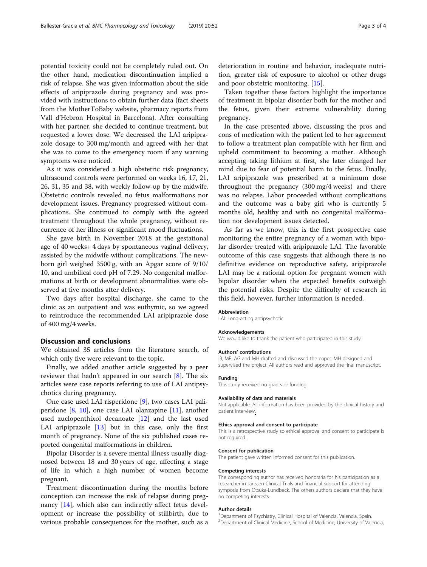potential toxicity could not be completely ruled out. On the other hand, medication discontinuation implied a risk of relapse. She was given information about the side effects of aripiprazole during pregnancy and was provided with instructions to obtain further data (fact sheets from the MotherToBaby website, pharmacy reports from Vall d'Hebron Hospital in Barcelona). After consulting with her partner, she decided to continue treatment, but requested a lower dose. We decreased the LAI aripiprazole dosage to 300 mg/month and agreed with her that she was to come to the emergency room if any warning symptoms were noticed.

As it was considered a high obstetric risk pregnancy, ultrasound controls were performed on weeks 16, 17, 21, 26, 31, 35 and 38, with weekly follow-up by the midwife. Obstetric controls revealed no fetus malformations nor development issues. Pregnancy progressed without complications. She continued to comply with the agreed treatment throughout the whole pregnancy, without recurrence of her illness or significant mood fluctuations.

She gave birth in November 2018 at the gestational age of 40 weeks+ 4 days by spontaneous vaginal delivery, assisted by the midwife without complications. The newborn girl weighed 3500 g, with an Apgar score of 9/10/ 10, and umbilical cord pH of 7.29. No congenital malformations at birth or development abnormalities were observed at five months after delivery.

Two days after hospital discharge, she came to the clinic as an outpatient and was euthymic, so we agreed to reintroduce the recommended LAI aripiprazole dose of 400 mg/4 weeks.

## Discussion and conclusions

We obtained 35 articles from the literature search, of which only five were relevant to the topic.

Finally, we added another article suggested by a peer reviewer that hadn't appeared in our search [[8\]](#page-3-0). The six articles were case reports referring to use of LAI antipsychotics during pregnancy.

One case used LAI risperidone [\[9](#page-3-0)], two cases LAI paliperidone [[8,](#page-3-0) [10\]](#page-3-0), one case LAI olanzapine [\[11\]](#page-3-0), another used zuclopenthixol decanoate [[12\]](#page-3-0) and the last used LAI aripiprazole [\[13](#page-3-0)] but in this case, only the first month of pregnancy. None of the six published cases reported congenital malformations in children.

Bipolar Disorder is a severe mental illness usually diagnosed between 18 and 30 years of age, affecting a stage of life in which a high number of women become pregnant.

Treatment discontinuation during the months before conception can increase the risk of relapse during pregnancy [[14\]](#page-3-0), which also can indirectly affect fetus development or increase the possibility of stillbirth, due to various probable consequences for the mother, such as a

deterioration in routine and behavior, inadequate nutrition, greater risk of exposure to alcohol or other drugs and poor obstetric monitoring. [\[15](#page-3-0)].

Taken together these factors highlight the importance of treatment in bipolar disorder both for the mother and the fetus, given their extreme vulnerability during pregnancy.

In the case presented above, discussing the pros and cons of medication with the patient led to her agreement to follow a treatment plan compatible with her firm and upheld commitment to becoming a mother. Although accepting taking lithium at first, she later changed her mind due to fear of potential harm to the fetus. Finally, LAI aripiprazole was prescribed at a minimum dose throughout the pregnancy (300 mg/4 weeks) and there was no relapse. Labor proceeded without complications and the outcome was a baby girl who is currently 5 months old, healthy and with no congenital malformation nor development issues detected.

As far as we know, this is the first prospective case monitoring the entire pregnancy of a woman with bipolar disorder treated with aripiprazole LAI. The favorable outcome of this case suggests that although there is no definitive evidence on reproductive safety, aripiprazole LAI may be a rational option for pregnant women with bipolar disorder when the expected benefits outweigh the potential risks. Despite the difficulty of research in this field, however, further information is needed.

#### Abbreviation

LAI: Long-acting antipsychotic

#### Acknowledgements

We would like to thank the patient who participated in this study.

## Authors' contributions

IB, MP, AG and MH drafted and discussed the paper. MH designed and supervised the project. All authors read and approved the final manuscript.

## Funding

This study received no grants or funding.

#### Availability of data and materials

Not applicable. All information has been provided by the clinical history and patient interview.

#### Ethics approval and consent to participate

This is a retrospective study so ethical approval and consent to participate is not required.

#### Consent for publication

The patient gave written informed consent for this publication.

#### Competing interests

The corresponding author has received honoraria for his participation as a researcher in Janssen Clinical Trials and financial support for attending symposia from Otsuka-Lundbeck. The others authors declare that they have no competing interests.

#### Author details

<sup>1</sup>Department of Psychiatry, Clinical Hospital of Valencia, Valencia, Spain <sup>2</sup> Department of Clinical Medicine, School of Medicine, University of Valencia